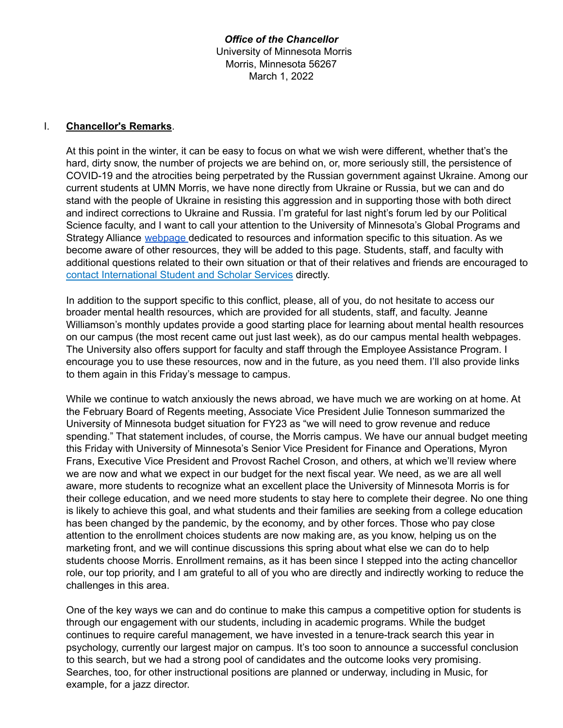*Office of the Chancellor* University of Minnesota Morris Morris, Minnesota 56267 March 1, 2022

#### I. **Chancellor's Remarks**.

At this point in the winter, it can be easy to focus on what we wish were different, whether that's the hard, dirty snow, the number of projects we are behind on, or, more seriously still, the persistence of COVID-19 and the atrocities being perpetrated by the Russian government against Ukraine. Among our current students at UMN Morris, we have none directly from Ukraine or Russia, but we can and do stand with the people of Ukraine in resisting this aggression and in supporting those with both direct and indirect corrections to Ukraine and Russia. I'm grateful for last night's forum led by our Political Science faculty, and I want to call your attention to the University of Minnesota's Global Programs and Strategy Alliance [webpage](https://global.umn.edu/news/ukraine-resources.html) dedicated to resources and information specific to this situation. As we become aware of other resources, they will be added to this page. Students, staff, and faculty with additional questions related to their own situation or that of their relatives and friends are encouraged to contact [International](https://isss.umn.edu/contact-us) Student and Scholar Services directly.

In addition to the support specific to this conflict, please, all of you, do not hesitate to access our broader mental health resources, which are provided for all students, staff, and faculty. Jeanne Williamson's monthly updates provide a good starting place for learning about mental health resources on our campus (the most recent came out just last week), as do our campus mental health webpages. The University also offers support for faculty and staff through the Employee Assistance Program. I encourage you to use these resources, now and in the future, as you need them. I'll also provide links to them again in this Friday's message to campus.

While we continue to watch anxiously the news abroad, we have much we are working on at home. At the February Board of Regents meeting, Associate Vice President Julie Tonneson summarized the University of Minnesota budget situation for FY23 as "we will need to grow revenue and reduce spending." That statement includes, of course, the Morris campus. We have our annual budget meeting this Friday with University of Minnesota's Senior Vice President for Finance and Operations, Myron Frans, Executive Vice President and Provost Rachel Croson, and others, at which we'll review where we are now and what we expect in our budget for the next fiscal year. We need, as we are all well aware, more students to recognize what an excellent place the University of Minnesota Morris is for their college education, and we need more students to stay here to complete their degree. No one thing is likely to achieve this goal, and what students and their families are seeking from a college education has been changed by the pandemic, by the economy, and by other forces. Those who pay close attention to the enrollment choices students are now making are, as you know, helping us on the marketing front, and we will continue discussions this spring about what else we can do to help students choose Morris. Enrollment remains, as it has been since I stepped into the acting chancellor role, our top priority, and I am grateful to all of you who are directly and indirectly working to reduce the challenges in this area.

One of the key ways we can and do continue to make this campus a competitive option for students is through our engagement with our students, including in academic programs. While the budget continues to require careful management, we have invested in a tenure-track search this year in psychology, currently our largest major on campus. It's too soon to announce a successful conclusion to this search, but we had a strong pool of candidates and the outcome looks very promising. Searches, too, for other instructional positions are planned or underway, including in Music, for example, for a jazz director.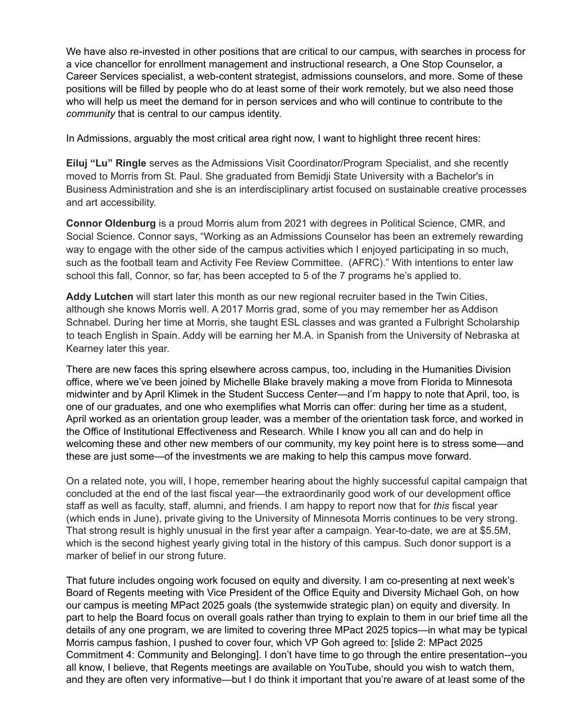We have also re-invested in other positions that are critical to our campus, with searches in process for a vice chancellor for enrollment management and instructional research, a One Stop Counselor, a Career Services specialist, a web-content strategist, admissions counselors, and more. Some of these positions will be filled by people who do at least some of their work remotely, but we also need those who will help us meet the demand for in person services and who will continue to contribute to the *community* that is central to our campus identity.

In Admissions, arguably the most critical area right now, I want to highlight three recent hires:

**Eiluj "Lu" Ringle** serves as the Admissions Visit Coordinator/Program Specialist, and she recently moved to Morris from St. Paul. She graduated from Bemidji State University with a Bachelor's in Business Administration and she is an interdisciplinary artist focused on sustainable creative processes and art accessibility.

**Connor Oldenburg** is a proud Morris alum from 2021 with degrees in Political Science, CMR, and Social Science. Connor says, "Working as an Admissions Counselor has been an extremely rewarding way to engage with the other side of the campus activities which I enjoyed participating in so much, such as the football team and Activity Fee Review Committee. (AFRC)." With intentions to enter law school this fall, Connor, so far, has been accepted to 5 of the 7 programs he's applied to.

**Addy Lutchen** will start later this month as our new regional recruiter based in the Twin Cities, although she knows Morris well. A 2017 Morris grad, some of you may remember her as Addison Schnabel. During her time at Morris, she taught ESL classes and was granted a Fulbright Scholarship to teach English in Spain. Addy will be earning her M.A. in Spanish from the University of Nebraska at Kearney later this year.

There are new faces this spring elsewhere across campus, too, including in the Humanities Division office, where we've been joined by Michelle Blake bravely making a move from Florida to Minnesota midwinter and by April Klimek in the Student Success Center—and I'm happy to note that April, too, is one of our graduates, and one who exemplifies what Morris can offer: during her time as a student, April worked as an orientation group leader, was a member of the orientation task force, and worked in the Office of Institutional Effectiveness and Research. While I know you all can and do help in welcoming these and other new members of our community, my key point here is to stress some—and these are just some—of the investments we are making to help this campus move forward.

On a related note, you will, I hope, remember hearing about the highly successful capital campaign that concluded at the end of the last fiscal year—the extraordinarily good work of our development office staff as well as faculty, staff, alumni, and friends. I am happy to report now that for *this* fiscal year (which ends in June), private giving to the University of Minnesota Morris continues to be very strong. That strong result is highly unusual in the first year after a campaign. Year-to-date, we are at \$5.5M, which is the second highest yearly giving total in the history of this campus. Such donor support is a marker of belief in our strong future.

That future includes ongoing work focused on equity and diversity. I am co-presenting at next week's Board of Regents meeting with Vice President of the Office Equity and Diversity Michael Goh, on how our campus is meeting MPact 2025 goals (the systemwide strategic plan) on equity and diversity. In part to help the Board focus on overall goals rather than trying to explain to them in our brief time all the details of any one program, we are limited to covering three MPact 2025 topics—in what may be typical Morris campus fashion, I pushed to cover four, which VP Goh agreed to: [slide 2: MPact 2025 Commitment 4: Community and Belonging]. I don't have time to go through the entire presentation--you all know, I believe, that Regents meetings are available on YouTube, should you wish to watch them, and they are often very informative—but I do think it important that you're aware of at least some of the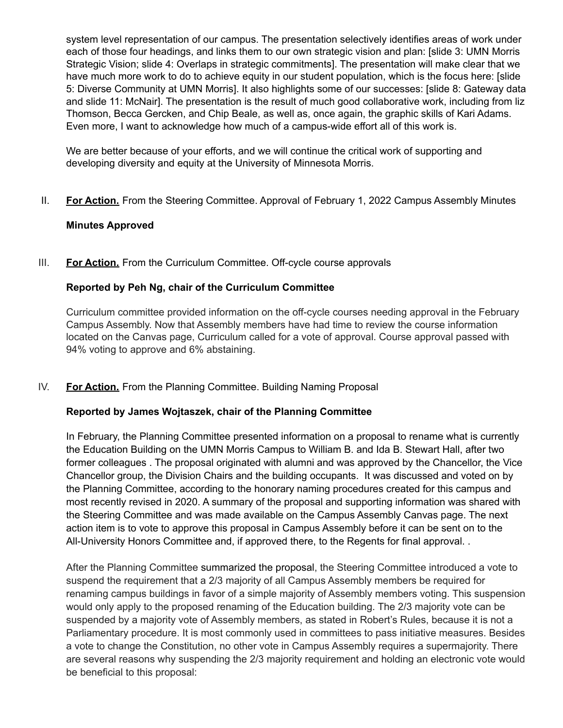system level representation of our campus. The presentation selectively identifies areas of work under each of those four headings, and links them to our own strategic vision and plan: [slide 3: UMN Morris Strategic Vision; slide 4: Overlaps in strategic commitments]. The presentation will make clear that we have much more work to do to achieve equity in our student population, which is the focus here: [slide 5: Diverse Community at UMN Morris]. It also highlights some of our successes: [slide 8: Gateway data and slide 11: McNair]. The presentation is the result of much good collaborative work, including from liz Thomson, Becca Gercken, and Chip Beale, as well as, once again, the graphic skills of Kari Adams. Even more, I want to acknowledge how much of a campus-wide effort all of this work is.

We are better because of your efforts, and we will continue the critical work of supporting and developing diversity and equity at the University of Minnesota Morris.

II. **For Action.** From the Steering Committee. Approval of February 1, 2022 Campus Assembly Minutes

#### **Minutes Approved**

III. **For Action.** From the Curriculum Committee. Off-cycle course approvals

#### **Reported by Peh Ng, chair of the Curriculum Committee**

Curriculum committee provided information on the off-cycle courses needing approval in the February Campus Assembly. Now that Assembly members have had time to review the course information located on the Canvas page, Curriculum called for a vote of approval. Course approval passed with 94% voting to approve and 6% abstaining.

#### IV. **For Action.** From the Planning Committee. Building Naming Proposal

#### **Reported by James Wojtaszek, chair of the Planning Committee**

In February, the Planning Committee presented information on a proposal to rename what is currently the Education Building on the UMN Morris Campus to William B. and Ida B. Stewart Hall, after two former colleagues . The proposal originated with alumni and was approved by the Chancellor, the Vice Chancellor group, the Division Chairs and the building occupants. It was discussed and voted on by the Planning Committee, according to the honorary naming procedures created for this campus and most recently revised in 2020. A summary of the proposal and supporting information was shared with the Steering Committee and was made available on the Campus Assembly Canvas page. The next action item is to vote to approve this proposal in Campus Assembly before it can be sent on to the All-University Honors Committee and, if approved there, to the Regents for final approval. .

After the Planning Committee summarized the proposal, the Steering Committee introduced a vote to suspend the requirement that a 2/3 majority of all Campus Assembly members be required for renaming campus buildings in favor of a simple majority of Assembly members voting. This suspension would only apply to the proposed renaming of the Education building. The 2/3 majority vote can be suspended by a majority vote of Assembly members, as stated in Robert's Rules, because it is not a Parliamentary procedure. It is most commonly used in committees to pass initiative measures. Besides a vote to change the Constitution, no other vote in Campus Assembly requires a supermajority. There are several reasons why suspending the 2/3 majority requirement and holding an electronic vote would be beneficial to this proposal: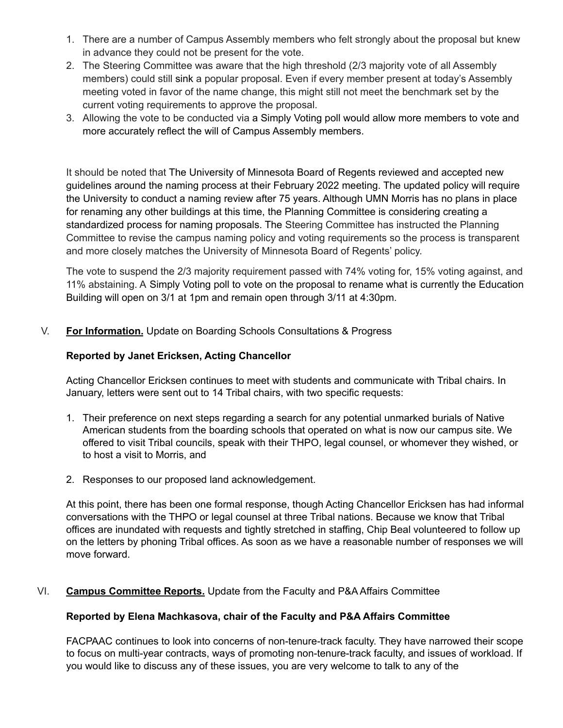- 1. There are a number of Campus Assembly members who felt strongly about the proposal but knew in advance they could not be present for the vote.
- 2. The Steering Committee was aware that the high threshold (2/3 majority vote of all Assembly members) could still sink a popular proposal. Even if every member present at today's Assembly meeting voted in favor of the name change, this might still not meet the benchmark set by the current voting requirements to approve the proposal.
- 3. Allowing the vote to be conducted via a Simply Voting poll would allow more members to vote and more accurately reflect the will of Campus Assembly members.

It should be noted that The University of Minnesota Board of Regents reviewed and accepted new guidelines around the naming process at their February 2022 meeting. The updated policy will require the University to conduct a naming review after 75 years. Although UMN Morris has no plans in place for renaming any other buildings at this time, the Planning Committee is considering creating a standardized process for naming proposals. The Steering Committee has instructed the Planning Committee to revise the campus naming policy and voting requirements so the process is transparent and more closely matches the University of Minnesota Board of Regents' policy.

The vote to suspend the 2/3 majority requirement passed with 74% voting for, 15% voting against, and 11% abstaining. A Simply Voting poll to vote on the proposal to rename what is currently the Education Building will open on 3/1 at 1pm and remain open through 3/11 at 4:30pm.

V. **For Information.** Update on Boarding Schools Consultations & Progress

#### **Reported by Janet Ericksen, Acting Chancellor**

Acting Chancellor Ericksen continues to meet with students and communicate with Tribal chairs. In January, letters were sent out to 14 Tribal chairs, with two specific requests:

- 1. Their preference on next steps regarding a search for any potential unmarked burials of Native American students from the boarding schools that operated on what is now our campus site. We offered to visit Tribal councils, speak with their THPO, legal counsel, or whomever they wished, or to host a visit to Morris, and
- 2. Responses to our proposed land acknowledgement.

At this point, there has been one formal response, though Acting Chancellor Ericksen has had informal conversations with the THPO or legal counsel at three Tribal nations. Because we know that Tribal offices are inundated with requests and tightly stretched in staffing, Chip Beal volunteered to follow up on the letters by phoning Tribal offices. As soon as we have a reasonable number of responses we will move forward.

#### VI. **Campus Committee Reports.** Update from the Faculty and P&A Affairs Committee

#### **Reported by Elena Machkasova, chair of the Faculty and P&A Affairs Committee**

FACPAAC continues to look into concerns of non-tenure-track faculty. They have narrowed their scope to focus on multi-year contracts, ways of promoting non-tenure-track faculty, and issues of workload. If you would like to discuss any of these issues, you are very welcome to talk to any of the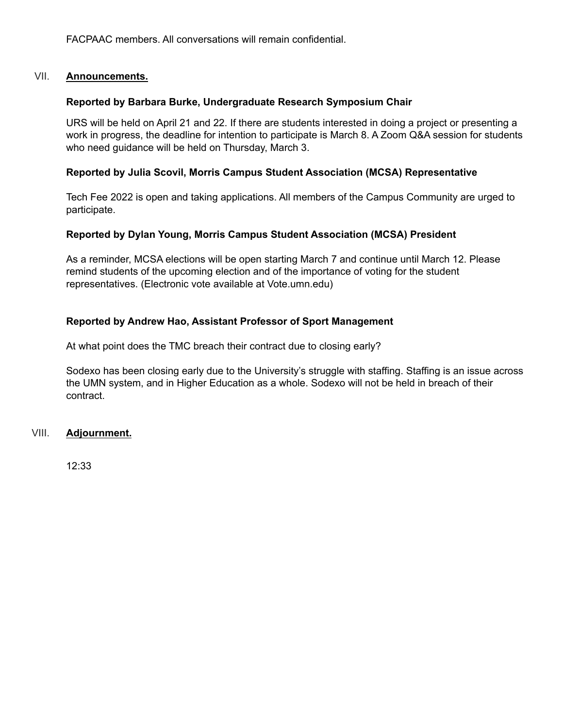FACPAAC members. All conversations will remain confidential.

#### VII. **Announcements.**

#### **Reported by Barbara Burke, Undergraduate Research Symposium Chair**

URS will be held on April 21 and 22. If there are students interested in doing a project or presenting a work in progress, the deadline for intention to participate is March 8. A Zoom Q&A session for students who need guidance will be held on Thursday, March 3.

#### **Reported by Julia Scovil, Morris Campus Student Association (MCSA) Representative**

Tech Fee 2022 is open and taking applications. All members of the Campus Community are urged to participate.

#### **Reported by Dylan Young, Morris Campus Student Association (MCSA) President**

As a reminder, MCSA elections will be open starting March 7 and continue until March 12. Please remind students of the upcoming election and of the importance of voting for the student representatives. (Electronic vote available at Vote.umn.edu)

#### **Reported by Andrew Hao, Assistant Professor of Sport Management**

At what point does the TMC breach their contract due to closing early?

Sodexo has been closing early due to the University's struggle with staffing. Staffing is an issue across the UMN system, and in Higher Education as a whole. Sodexo will not be held in breach of their contract.

VIII. **Adjournment.**

12:33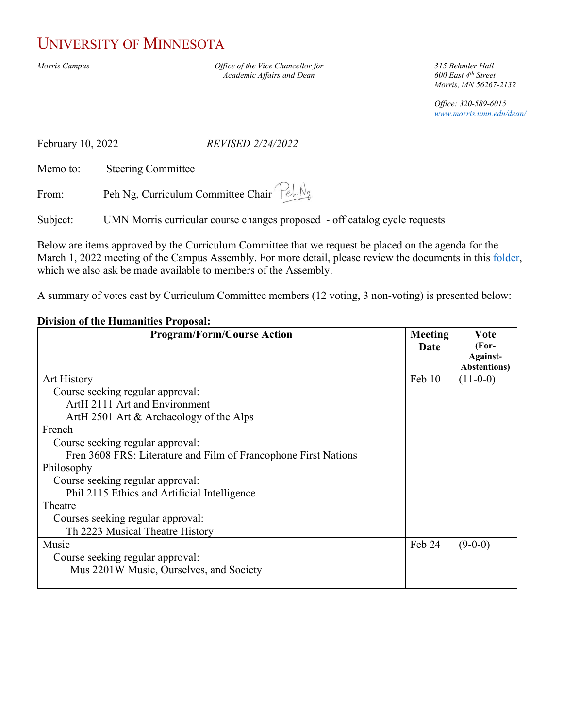## UNIVERSITY OF MINNESOTA

*Morris Campus Office of the Vice Chancellor for* **315 Behmler Hall**<br>*Academic Affairs and Dean* **600 East 4<sup>th</sup> Street** *Academic Affairs and Dean* 

*Morris, MN 56267-2132*

*Office: 320-589-6015 [www.morris.umn.edu/dean/](http://www.morris.umn.edu/dean/)*

February 10, 2022 *REVISED 2/24/2022*

Memo to: Steering Committee

From: Peh Ng, Curriculum Committee Chair  $\mathcal{P}_{e} \cup \mathcal{P}_{e}$ 

Subject: UMN Morris curricular course changes proposed - off catalog cycle requests

Below are items approved by the Curriculum Committee that we request be placed on the agenda for the March 1, 2022 meeting of the Campus Assembly. For more detail, please review the documents in this [folder,](https://drive.google.com/drive/folders/16tHPLFmRzmr_MGdKEg1YeplwYpf_C5c1?usp=sharing) which we also ask be made available to members of the Assembly.

A summary of votes cast by Curriculum Committee members (12 voting, 3 non-voting) is presented below:

#### **Division of the Humanities Proposal:**

| <b>Program/Form/Course Action</b>                               | <b>Meeting</b><br>Date | <b>V</b> ote<br>(For-<br>Against-<br><b>Abstentions</b> ) |
|-----------------------------------------------------------------|------------------------|-----------------------------------------------------------|
| <b>Art History</b>                                              | Feb 10                 | $(11-0-0)$                                                |
| Course seeking regular approval:                                |                        |                                                           |
| ArtH 2111 Art and Environment                                   |                        |                                                           |
| ArtH 2501 Art & Archaeology of the Alps                         |                        |                                                           |
| French                                                          |                        |                                                           |
| Course seeking regular approval:                                |                        |                                                           |
| Fren 3608 FRS: Literature and Film of Francophone First Nations |                        |                                                           |
| Philosophy                                                      |                        |                                                           |
| Course seeking regular approval:                                |                        |                                                           |
| Phil 2115 Ethics and Artificial Intelligence                    |                        |                                                           |
| Theatre                                                         |                        |                                                           |
| Courses seeking regular approval:                               |                        |                                                           |
| Th 2223 Musical Theatre History                                 |                        |                                                           |
| Music                                                           | Feb 24                 | $(9-0-0)$                                                 |
| Course seeking regular approval:                                |                        |                                                           |
| Mus 2201W Music, Ourselves, and Society                         |                        |                                                           |
|                                                                 |                        |                                                           |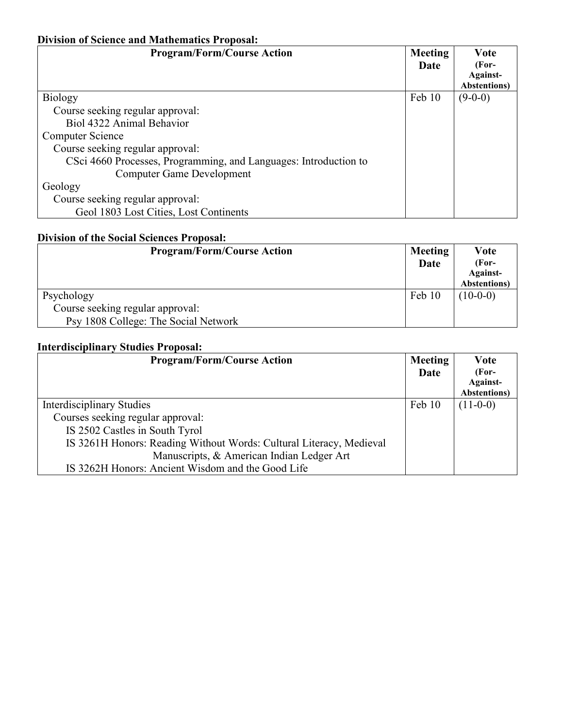#### **Division of Science and Mathematics Proposal:**

| <b>Program/Form/Course Action</b>                                | <b>Meeting</b> | <b>V</b> ote         |
|------------------------------------------------------------------|----------------|----------------------|
|                                                                  | Date           | $(For-$              |
|                                                                  |                | Against-             |
|                                                                  |                | <b>Abstentions</b> ) |
| Biology                                                          | Feb 10         | $(9-0-0)$            |
| Course seeking regular approval:                                 |                |                      |
| Biol 4322 Animal Behavior                                        |                |                      |
| Computer Science                                                 |                |                      |
| Course seeking regular approval:                                 |                |                      |
| CSci 4660 Processes, Programming, and Languages: Introduction to |                |                      |
| Computer Game Development                                        |                |                      |
| Geology                                                          |                |                      |
| Course seeking regular approval:                                 |                |                      |
| Geol 1803 Lost Cities, Lost Continents                           |                |                      |

#### **Division of the Social Sciences Proposal:**

| <b>Program/Form/Course Action</b>    | <b>Meeting</b><br>Date | Vote<br>(For-<br>Against-<br><b>Abstentions</b> ) |
|--------------------------------------|------------------------|---------------------------------------------------|
| Psychology                           | Feb 10                 | $(10-0-0)$                                        |
| Course seeking regular approval:     |                        |                                                   |
| Psy 1808 College: The Social Network |                        |                                                   |

#### **Interdisciplinary Studies Proposal:**

| <b>Program/Form/Course Action</b>                                   | <b>Meeting</b><br>Date | Vote<br>(For-<br>Against-<br><b>Abstentions</b> ) |
|---------------------------------------------------------------------|------------------------|---------------------------------------------------|
| Interdisciplinary Studies                                           | Feb 10                 | $(11-0-0)$                                        |
| Courses seeking regular approval:                                   |                        |                                                   |
| IS 2502 Castles in South Tyrol                                      |                        |                                                   |
| IS 3261H Honors: Reading Without Words: Cultural Literacy, Medieval |                        |                                                   |
| Manuscripts, & American Indian Ledger Art                           |                        |                                                   |
| IS 3262H Honors: Ancient Wisdom and the Good Life                   |                        |                                                   |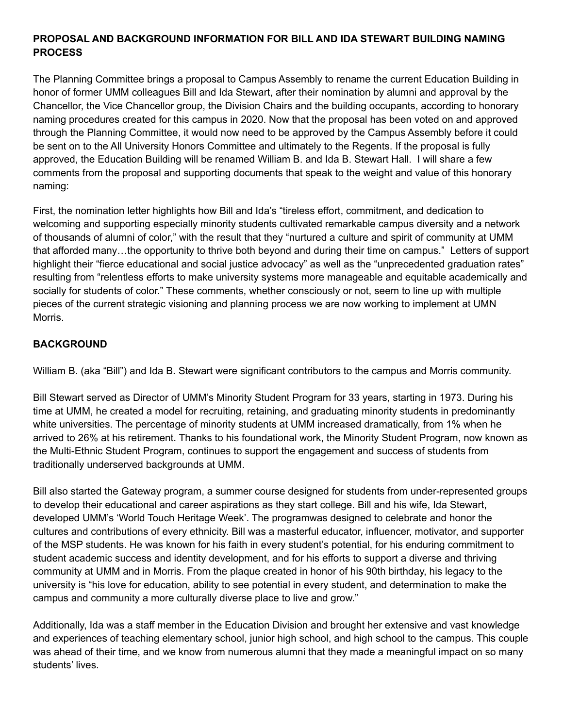#### **PROPOSAL AND BACKGROUND INFORMATION FOR BILL AND IDA STEWART BUILDING NAMING PROCESS**

The Planning Committee brings a proposal to Campus Assembly to rename the current Education Building in honor of former UMM colleagues Bill and Ida Stewart, after their nomination by alumni and approval by the Chancellor, the Vice Chancellor group, the Division Chairs and the building occupants, according to honorary naming procedures created for this campus in 2020. Now that the proposal has been voted on and approved through the Planning Committee, it would now need to be approved by the Campus Assembly before it could be sent on to the All University Honors Committee and ultimately to the Regents. If the proposal is fully approved, the Education Building will be renamed William B. and Ida B. Stewart Hall. I will share a few comments from the proposal and supporting documents that speak to the weight and value of this honorary naming:

First, the nomination letter highlights how Bill and Ida's "tireless effort, commitment, and dedication to welcoming and supporting especially minority students cultivated remarkable campus diversity and a network of thousands of alumni of color," with the result that they "nurtured a culture and spirit of community at UMM that afforded many…the opportunity to thrive both beyond and during their time on campus." Letters of support highlight their "fierce educational and social justice advocacy" as well as the "unprecedented graduation rates" resulting from "relentless efforts to make university systems more manageable and equitable academically and socially for students of color." These comments, whether consciously or not, seem to line up with multiple pieces of the current strategic visioning and planning process we are now working to implement at UMN Morris.

#### **BACKGROUND**

William B. (aka "Bill") and Ida B. Stewart were significant contributors to the campus and Morris community.

Bill Stewart served as Director of UMM's Minority Student Program for 33 years, starting in 1973. During his time at UMM, he created a model for recruiting, retaining, and graduating minority students in predominantly white universities. The percentage of minority students at UMM increased dramatically, from 1% when he arrived to 26% at his retirement. Thanks to his foundational work, the Minority Student Program, now known as the Multi-Ethnic Student Program, continues to support the engagement and success of students from traditionally underserved backgrounds at UMM.

Bill also started the Gateway program, a summer course designed for students from under-represented groups to develop their educational and career aspirations as they start college. Bill and his wife, Ida Stewart, developed UMM's 'World Touch Heritage Week'. The programwas designed to celebrate and honor the cultures and contributions of every ethnicity. Bill was a masterful educator, influencer, motivator, and supporter of the MSP students. He was known for his faith in every student's potential, for his enduring commitment to student academic success and identity development, and for his efforts to support a diverse and thriving community at UMM and in Morris. From the plaque created in honor of his 90th birthday, his legacy to the university is "his love for education, ability to see potential in every student, and determination to make the campus and community a more culturally diverse place to live and grow."

Additionally, Ida was a staff member in the Education Division and brought her extensive and vast knowledge and experiences of teaching elementary school, junior high school, and high school to the campus. This couple was ahead of their time, and we know from numerous alumni that they made a meaningful impact on so many students' lives.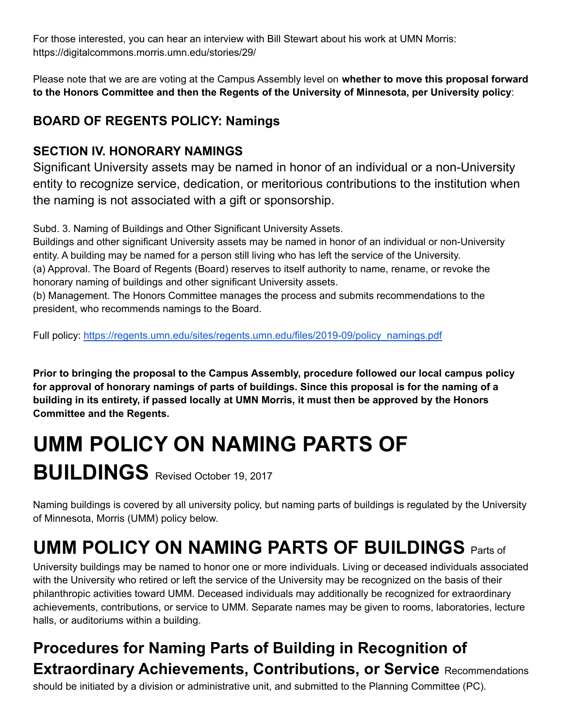For those interested, you can hear an interview with Bill Stewart about his work at UMN Morris: https://digitalcommons.morris.umn.edu/stories/29/

Please note that we are are voting at the Campus Assembly level on **whether to move this proposal forward to the Honors Committee and then the Regents of the University of Minnesota, per University policy**:

## **BOARD OF REGENTS POLICY: Namings**

### **SECTION IV. HONORARY NAMINGS**

Significant University assets may be named in honor of an individual or a non-University entity to recognize service, dedication, or meritorious contributions to the institution when the naming is not associated with a gift or sponsorship.

Subd. 3. Naming of Buildings and Other Significant University Assets.

Buildings and other significant University assets may be named in honor of an individual or non-University entity. A building may be named for a person still living who has left the service of the University. (a) Approval. The Board of Regents (Board) reserves to itself authority to name, rename, or revoke the honorary naming of buildings and other significant University assets.

(b) Management. The Honors Committee manages the process and submits recommendations to the president, who recommends namings to the Board.

Full policy: [https://regents.umn.edu/sites/regents.umn.edu/files/2019-09/policy\\_namings.pdf](https://regents.umn.edu/sites/regents.umn.edu/files/2019-09/policy_namings.pdf)

**Prior to bringing the proposal to the Campus Assembly, procedure followed our local campus policy for approval of honorary namings of parts of buildings. Since this proposal is for the naming of a building in its entirety, if passed locally at UMN Morris, it must then be approved by the Honors Committee and the Regents.**

# **UMM POLICY ON NAMING PARTS OF BUILDINGS** Revised October 19, 2017

Naming buildings is covered by all university policy, but naming parts of buildings is regulated by the University of Minnesota, Morris (UMM) policy below.

# **UMM POLICY ON NAMING PARTS OF BUILDINGS** Parts of

University buildings may be named to honor one or more individuals. Living or deceased individuals associated with the University who retired or left the service of the University may be recognized on the basis of their philanthropic activities toward UMM. Deceased individuals may additionally be recognized for extraordinary achievements, contributions, or service to UMM. Separate names may be given to rooms, laboratories, lecture halls, or auditoriums within a building.

## **Procedures for Naming Parts of Building in Recognition of Extraordinary Achievements, Contributions, or Service** Recommendations

should be initiated by a division or administrative unit, and submitted to the Planning Committee (PC).